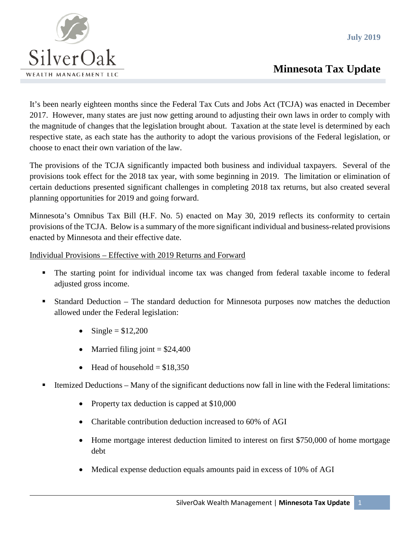**July 2019**



## **Minnesota Tax Update**

It's been nearly eighteen months since the Federal Tax Cuts and Jobs Act (TCJA) was enacted in December 2017. However, many states are just now getting around to adjusting their own laws in order to comply with the magnitude of changes that the legislation brought about. Taxation at the state level is determined by each respective state, as each state has the authority to adopt the various provisions of the Federal legislation, or choose to enact their own variation of the law.

The provisions of the TCJA significantly impacted both business and individual taxpayers. Several of the provisions took effect for the 2018 tax year, with some beginning in 2019. The limitation or elimination of certain deductions presented significant challenges in completing 2018 tax returns, but also created several planning opportunities for 2019 and going forward.

Minnesota's Omnibus Tax Bill (H.F. No. 5) enacted on May 30, 2019 reflects its conformity to certain provisions of the TCJA. Below is a summary of the more significant individual and business-related provisions enacted by Minnesota and their effective date.

Individual Provisions – Effective with 2019 Returns and Forward

- The starting point for individual income tax was changed from federal taxable income to federal adjusted gross income.
- Standard Deduction The standard deduction for Minnesota purposes now matches the deduction allowed under the Federal legislation:
	- $Single = $12,200$
	- Married filing joint  $= $24,400$
	- Head of household  $= $18,350$
- Itemized Deductions Many of the significant deductions now fall in line with the Federal limitations:
	- Property tax deduction is capped at \$10,000
	- Charitable contribution deduction increased to 60% of AGI
	- Home mortgage interest deduction limited to interest on first \$750,000 of home mortgage debt
	- Medical expense deduction equals amounts paid in excess of 10% of AGI